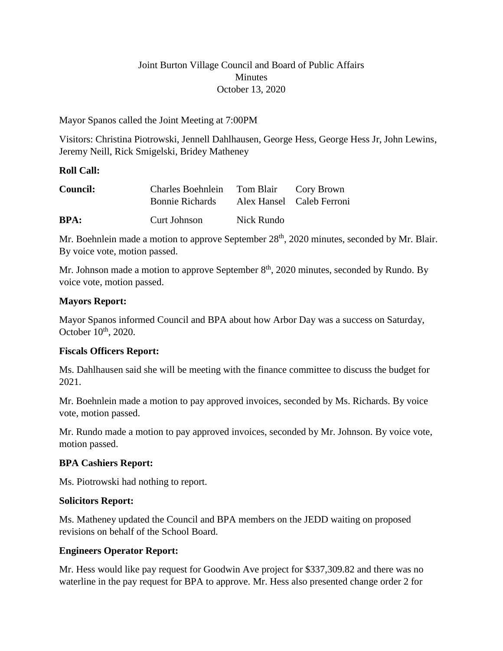## Joint Burton Village Council and Board of Public Affairs **Minutes** October 13, 2020

#### Mayor Spanos called the Joint Meeting at 7:00PM

Visitors: Christina Piotrowski, Jennell Dahlhausen, George Hess, George Hess Jr, John Lewins, Jeremy Neill, Rick Smigelski, Bridey Matheney

#### **Roll Call:**

| <b>Council:</b> | Charles Boehnlein Tom Blair Cory Brown |            |                           |
|-----------------|----------------------------------------|------------|---------------------------|
|                 | <b>Bonnie Richards</b>                 |            | Alex Hansel Caleb Ferroni |
| <b>BPA:</b>     | Curt Johnson                           | Nick Rundo |                           |

Mr. Boehnlein made a motion to approve September 28<sup>th</sup>, 2020 minutes, seconded by Mr. Blair. By voice vote, motion passed.

Mr. Johnson made a motion to approve September  $8<sup>th</sup>$ , 2020 minutes, seconded by Rundo. By voice vote, motion passed.

#### **Mayors Report:**

Mayor Spanos informed Council and BPA about how Arbor Day was a success on Saturday, October  $10<sup>th</sup>$ , 2020.

## **Fiscals Officers Report:**

Ms. Dahlhausen said she will be meeting with the finance committee to discuss the budget for 2021.

Mr. Boehnlein made a motion to pay approved invoices, seconded by Ms. Richards. By voice vote, motion passed.

Mr. Rundo made a motion to pay approved invoices, seconded by Mr. Johnson. By voice vote, motion passed.

## **BPA Cashiers Report:**

Ms. Piotrowski had nothing to report.

#### **Solicitors Report:**

Ms. Matheney updated the Council and BPA members on the JEDD waiting on proposed revisions on behalf of the School Board.

## **Engineers Operator Report:**

Mr. Hess would like pay request for Goodwin Ave project for \$337,309.82 and there was no waterline in the pay request for BPA to approve. Mr. Hess also presented change order 2 for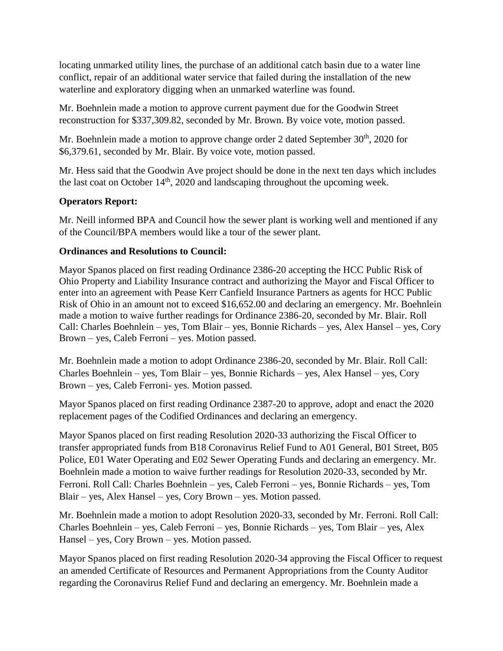locating unmarked utility lines, the purchase of an additional catch basin due to a water line conflict, repair of an additional water service that failed during the installation of the new waterline and exploratory digging when an unmarked waterline was found.

Mr. Boehnlein made a motion to approve current payment due for the Goodwin Street reconstruction for \$337,309.82, seconded by Mr. Brown. By voice vote, motion passed.

Mr. Boehnlein made a motion to approve change order 2 dated September  $30<sup>th</sup>$ , 2020 for \$6,379.61, seconded by Mr. Blair. By voice vote, motion passed.

Mr. Hess said that the Goodwin Ave project should be done in the next ten days which includes the last coat on October  $14<sup>th</sup>$ , 2020 and landscaping throughout the upcoming week.

# **Operators Report:**

Mr. Neill informed BPA and Council how the sewer plant is working well and mentioned if any of the Council/BPA members would like a tour of the sewer plant.

# **Ordinances and Resolutions to Council:**

Mayor Spanos placed on first reading Ordinance 2386-20 accepting the HCC Public Risk of Ohio Property and Liability Insurance contract and authorizing the Mayor and Fiscal Officer to enter into an agreement with Pease Kerr Canfield Insurance Partners as agents for HCC Public Risk of Ohio in an amount not to exceed \$16,652.00 and declaring an emergency. Mr. Boehnlein made a motion to waive further readings for Ordinance 2386-20, seconded by Mr. Blair. Roll Call: Charles Boehnlein – yes, Tom Blair – yes, Bonnie Richards – yes, Alex Hansel – yes, Cory Brown – yes, Caleb Ferroni – yes. Motion passed.

Mr. Boehnlein made a motion to adopt Ordinance 2386-20, seconded by Mr. Blair. Roll Call: Charles Boehnlein – yes, Tom Blair – yes, Bonnie Richards – yes, Alex Hansel – yes, Cory Brown – yes, Caleb Ferroni- yes. Motion passed.

Mayor Spanos placed on first reading Ordinance 2387-20 to approve, adopt and enact the 2020 replacement pages of the Codified Ordinances and declaring an emergency.

Mayor Spanos placed on first reading Resolution 2020-33 authorizing the Fiscal Officer to transfer appropriated funds from B18 Coronavirus Relief Fund to A01 General, B01 Street, B05 Police, E01 Water Operating and E02 Sewer Operating Funds and declaring an emergency. Mr. Boehnlein made a motion to waive further readings for Resolution 2020-33, seconded by Mr. Ferroni. Roll Call: Charles Boehnlein – yes, Caleb Ferroni – yes, Bonnie Richards – yes, Tom Blair – yes, Alex Hansel – yes, Cory Brown – yes. Motion passed.

Mr. Boehnlein made a motion to adopt Resolution 2020-33, seconded by Mr. Ferroni. Roll Call: Charles Boehnlein – yes, Caleb Ferroni – yes, Bonnie Richards – yes, Tom Blair – yes, Alex Hansel – yes, Cory Brown – yes. Motion passed.

Mayor Spanos placed on first reading Resolution 2020-34 approving the Fiscal Officer to request an amended Certificate of Resources and Permanent Appropriations from the County Auditor regarding the Coronavirus Relief Fund and declaring an emergency. Mr. Boehnlein made a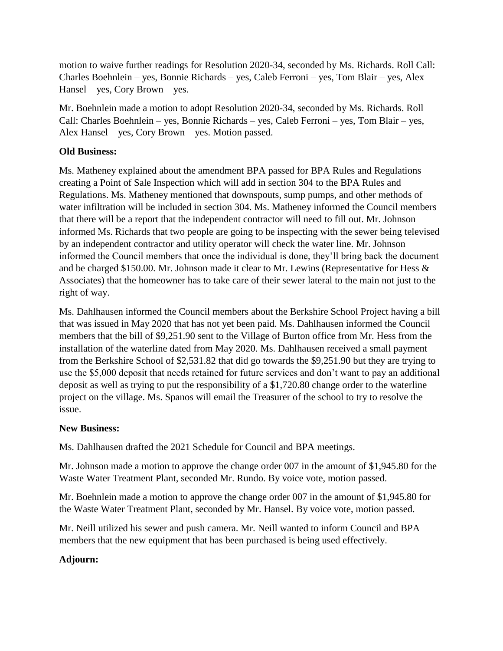motion to waive further readings for Resolution 2020-34, seconded by Ms. Richards. Roll Call: Charles Boehnlein – yes, Bonnie Richards – yes, Caleb Ferroni – yes, Tom Blair – yes, Alex Hansel – yes, Cory Brown – yes.

Mr. Boehnlein made a motion to adopt Resolution 2020-34, seconded by Ms. Richards. Roll Call: Charles Boehnlein – yes, Bonnie Richards – yes, Caleb Ferroni – yes, Tom Blair – yes, Alex Hansel – yes, Cory Brown – yes. Motion passed.

## **Old Business:**

Ms. Matheney explained about the amendment BPA passed for BPA Rules and Regulations creating a Point of Sale Inspection which will add in section 304 to the BPA Rules and Regulations. Ms. Matheney mentioned that downspouts, sump pumps, and other methods of water infiltration will be included in section 304. Ms. Matheney informed the Council members that there will be a report that the independent contractor will need to fill out. Mr. Johnson informed Ms. Richards that two people are going to be inspecting with the sewer being televised by an independent contractor and utility operator will check the water line. Mr. Johnson informed the Council members that once the individual is done, they'll bring back the document and be charged \$150.00. Mr. Johnson made it clear to Mr. Lewins (Representative for Hess & Associates) that the homeowner has to take care of their sewer lateral to the main not just to the right of way.

Ms. Dahlhausen informed the Council members about the Berkshire School Project having a bill that was issued in May 2020 that has not yet been paid. Ms. Dahlhausen informed the Council members that the bill of \$9,251.90 sent to the Village of Burton office from Mr. Hess from the installation of the waterline dated from May 2020. Ms. Dahlhausen received a small payment from the Berkshire School of \$2,531.82 that did go towards the \$9,251.90 but they are trying to use the \$5,000 deposit that needs retained for future services and don't want to pay an additional deposit as well as trying to put the responsibility of a \$1,720.80 change order to the waterline project on the village. Ms. Spanos will email the Treasurer of the school to try to resolve the issue.

## **New Business:**

Ms. Dahlhausen drafted the 2021 Schedule for Council and BPA meetings.

Mr. Johnson made a motion to approve the change order 007 in the amount of \$1,945.80 for the Waste Water Treatment Plant, seconded Mr. Rundo. By voice vote, motion passed.

Mr. Boehnlein made a motion to approve the change order 007 in the amount of \$1,945.80 for the Waste Water Treatment Plant, seconded by Mr. Hansel. By voice vote, motion passed.

Mr. Neill utilized his sewer and push camera. Mr. Neill wanted to inform Council and BPA members that the new equipment that has been purchased is being used effectively.

## **Adjourn:**